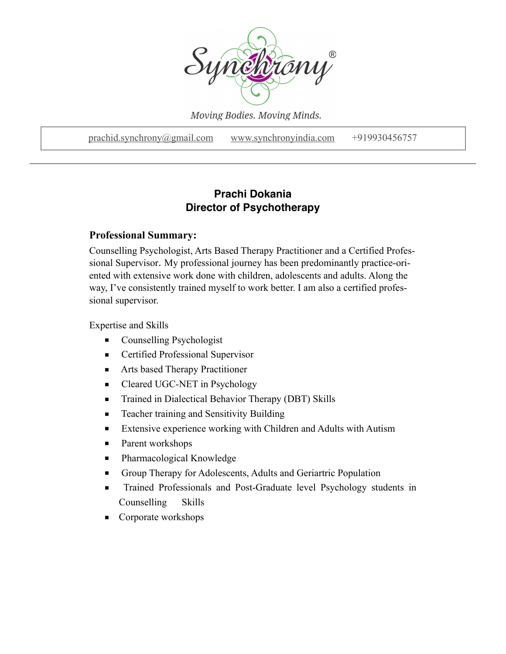

Moving Bodies. Moving Minds.

[prachid.synchrony@gmail.com](mailto:prachid.synchrony@gmail.com) [www.synchronyindia.com](http://www.synchronyindia.com) +919930456757

# **Prachi Dokania Director of Psychotherapy**

### **Professional Summary:**

Counselling Psychologist, Arts Based Therapy Practitioner and a Certified Professional Supervisor. My professional journey has been predominantly practice-oriented with extensive work done with children, adolescents and adults. Along the way, I've consistently trained myself to work better. I am also a certified professional supervisor.

Expertise and Skills

- Counselling Psychologist
- Certified Professional Supervisor
- Arts based Therapy Practitioner
- Cleared UGC-NET in Psychology
- Trained in Dialectical Behavior Therapy (DBT) Skills
- Teacher training and Sensitivity Building
- Extensive experience working with Children and Adults with Autism
- Parent workshops
- Pharmacological Knowledge
- Group Therapy for Adolescents, Adults and Geriartric Population
- Trained Professionals and Post-Graduate level Psychology students in Counselling Skills
- Corporate workshops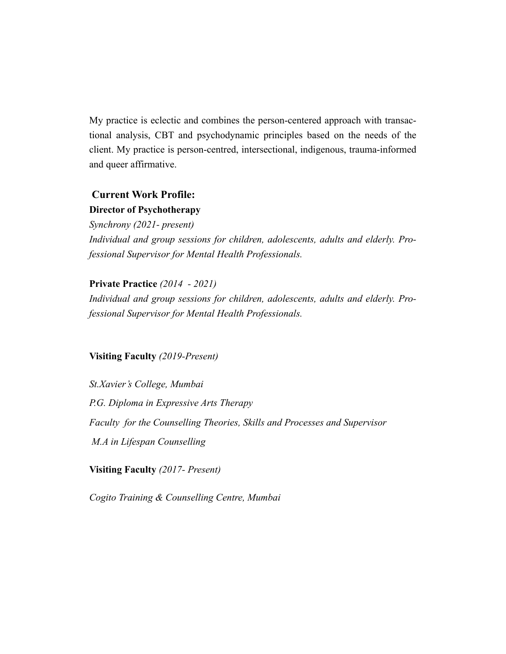My practice is eclectic and combines the person-centered approach with transactional analysis, CBT and psychodynamic principles based on the needs of the client. My practice is person-centred, intersectional, indigenous, trauma-informed and queer affirmative.

# **Current Work Profile: Director of Psychotherapy**

*Synchrony (2021- present) Individual and group sessions for children, adolescents, adults and elderly. Professional Supervisor for Mental Health Professionals.*

## **Private Practice** *(2014 - 2021)*

*Individual and group sessions for children, adolescents, adults and elderly. Professional Supervisor for Mental Health Professionals.*

#### **Visiting Faculty** *(2019-Present)*

*St.Xavier's College, Mumbai P.G. Diploma in Expressive Arts Therapy Faculty for the Counselling Theories, Skills and Processes and Supervisor M.A in Lifespan Counselling*

**Visiting Faculty** *(2017- Present)*

*Cogito Training & Counselling Centre, Mumbai*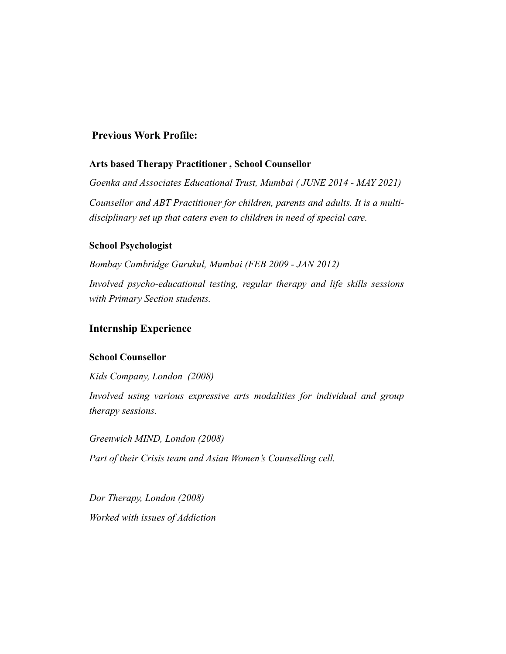### **Previous Work Profile:**

#### **Arts based Therapy Practitioner , School Counsellor**

*Goenka and Associates Educational Trust, Mumbai ( JUNE 2014 - MAY 2021) Counsellor and ABT Practitioner for children, parents and adults. It is a multidisciplinary set up that caters even to children in need of special care.*

#### **School Psychologist**

*Bombay Cambridge Gurukul, Mumbai (FEB 2009 - JAN 2012) Involved psycho-educational testing, regular therapy and life skills sessions with Primary Section students.* 

### **Internship Experience**

#### **School Counsellor**

*Kids Company, London (2008)*

*Involved using various expressive arts modalities for individual and group therapy sessions.* 

*Greenwich MIND, London (2008) Part of their Crisis team and Asian Women's Counselling cell.*

*Dor Therapy, London (2008) Worked with issues of Addiction*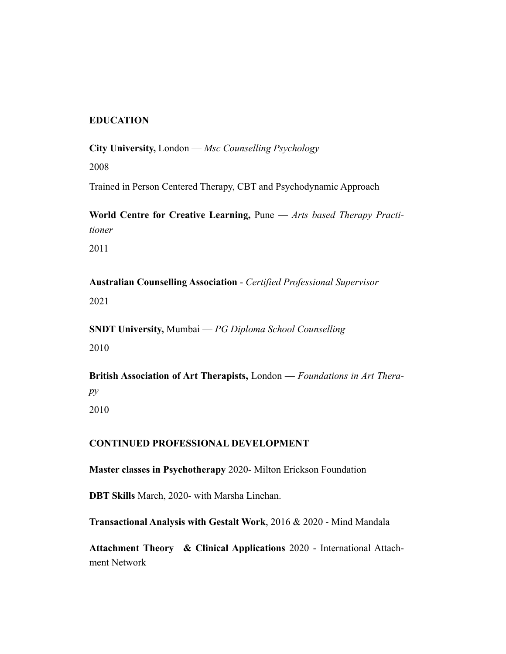### **EDUCATION**

**City University,** London — *Msc Counselling Psychology* 

2008

Trained in Person Centered Therapy, CBT and Psychodynamic Approach

**World Centre for Creative Learning,** Pune — *Arts based Therapy Practitioner* 

2011

**Australian Counselling Association** - *Certified Professional Supervisor*  2021

**SNDT University,** Mumbai — *PG Diploma School Counselling*  2010

**British Association of Art Therapists,** London — *Foundations in Art Therapy*  2010

#### **CONTINUED PROFESSIONAL DEVELOPMENT**

**Master classes in Psychotherapy** 2020- Milton Erickson Foundation

**DBT Skills** March, 2020- with Marsha Linehan.

**Transactional Analysis with Gestalt Work**, 2016 & 2020 - Mind Mandala

**Attachment Theory & Clinical Applications** 2020 - International Attachment Network